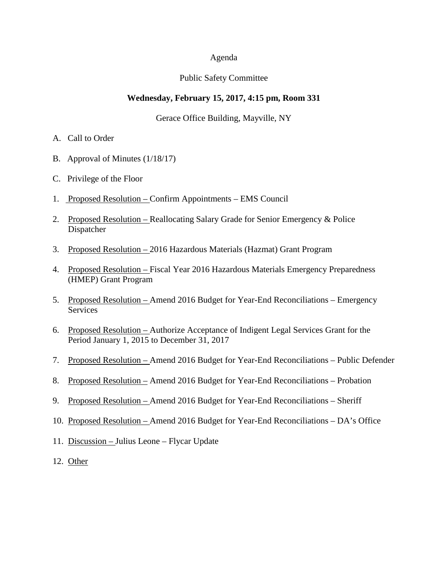#### Agenda

#### Public Safety Committee

#### **Wednesday, February 15, 2017, 4:15 pm, Room 331**

#### Gerace Office Building, Mayville, NY

- A. Call to Order
- B. Approval of Minutes (1/18/17)
- C. Privilege of the Floor
- 1. Proposed Resolution Confirm Appointments EMS Council
- 2. Proposed Resolution Reallocating Salary Grade for Senior Emergency & Police Dispatcher
- 3. Proposed Resolution 2016 Hazardous Materials (Hazmat) Grant Program
- 4. Proposed Resolution Fiscal Year 2016 Hazardous Materials Emergency Preparedness (HMEP) Grant Program
- 5. Proposed Resolution Amend 2016 Budget for Year-End Reconciliations Emergency Services
- 6. Proposed Resolution Authorize Acceptance of Indigent Legal Services Grant for the Period January 1, 2015 to December 31, 2017
- 7. Proposed Resolution Amend 2016 Budget for Year-End Reconciliations Public Defender
- 8. Proposed Resolution Amend 2016 Budget for Year-End Reconciliations Probation
- 9. Proposed Resolution Amend 2016 Budget for Year-End Reconciliations Sheriff
- 10. Proposed Resolution Amend 2016 Budget for Year-End Reconciliations DA's Office
- 11. Discussion Julius Leone Flycar Update
- 12. Other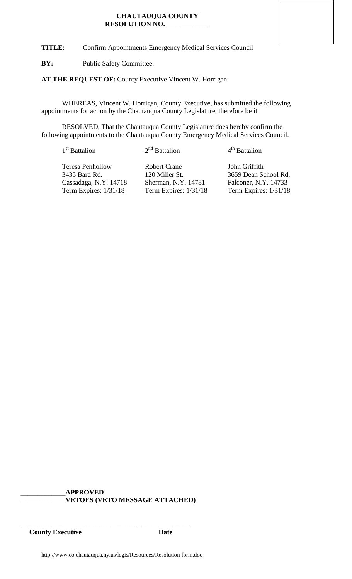**TITLE:** Confirm Appointments Emergency Medical Services Council

**BY:** Public Safety Committee:

**AT THE REQUEST OF:** County Executive Vincent W. Horrigan:

WHEREAS, Vincent W. Horrigan, County Executive, has submitted the following appointments for action by the Chautauqua County Legislature, therefore be it

RESOLVED, That the Chautauqua County Legislature does hereby confirm the following appointments to the Chautauqua County Emergency Medical Services Council.

# $1<sup>st</sup>$  Battalion  $2<sup>nd</sup>$  Battalion  $4<sup>th</sup>$  Battalion

Teresa Penhollow Robert Crane John Griffith<br>
3435 Bard Rd. 120 Miller St. 3659 Dean So

120 Miller St. 3659 Dean School Rd.<br>Sherman, N.Y. 14781 Falconer, N.Y. 14733 Cassadaga, N.Y. 14718 Sherman, N.Y. 14781 Falconer, N.Y. 14733<br>Term Expires: 1/31/18 Term Expires: 1/31/18 Term Expires: 1/31/18 Term Expires:  $1/31/18$ 

# **\_\_\_\_\_\_\_\_\_\_\_\_\_APPROVED \_\_\_\_\_\_\_\_\_\_\_\_\_VETOES (VETO MESSAGE ATTACHED)**

\_\_\_\_\_\_\_\_\_\_\_\_\_\_\_\_\_\_\_\_\_\_\_\_\_\_\_\_\_\_\_\_\_\_ \_\_\_\_\_\_\_\_\_\_\_\_\_\_ **County Executive Date**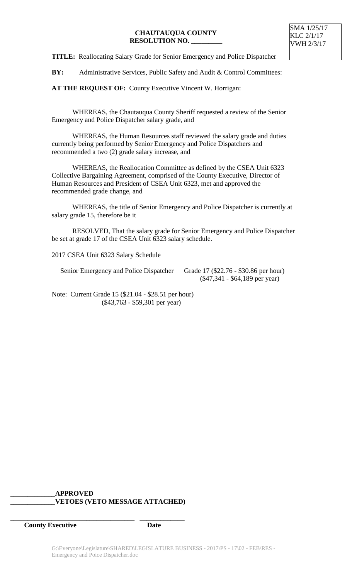**TITLE:** Reallocating Salary Grade for Senior Emergency and Police Dispatcher

BY: Administrative Services, Public Safety and Audit & Control Committees:

**AT THE REQUEST OF:** County Executive Vincent W. Horrigan:

WHEREAS, the Chautauqua County Sheriff requested a review of the Senior Emergency and Police Dispatcher salary grade, and

WHEREAS, the Human Resources staff reviewed the salary grade and duties currently being performed by Senior Emergency and Police Dispatchers and recommended a two (2) grade salary increase, and

WHEREAS, the Reallocation Committee as defined by the CSEA Unit 6323 Collective Bargaining Agreement, comprised of the County Executive, Director of Human Resources and President of CSEA Unit 6323, met and approved the recommended grade change, and

WHEREAS, the title of Senior Emergency and Police Dispatcher is currently at salary grade 15, therefore be it

RESOLVED, That the salary grade for Senior Emergency and Police Dispatcher be set at grade 17 of the CSEA Unit 6323 salary schedule.

2017 CSEA Unit 6323 Salary Schedule

Senior Emergency and Police Dispatcher Grade 17 (\$22.76 - \$30.86 per hour)

(\$47,341 - \$64,189 per year)

Note: Current Grade 15 (\$21.04 - \$28.51 per hour) (\$43,763 - \$59,301 per year)

# **\_\_\_\_\_\_\_\_\_\_\_\_\_APPROVED \_\_\_\_\_\_\_\_\_\_\_\_\_VETOES (VETO MESSAGE ATTACHED)**

**\_\_\_\_\_\_\_\_\_\_\_\_\_\_\_\_\_\_\_\_\_\_\_\_\_\_\_\_\_\_\_\_\_\_\_\_ \_\_\_\_\_\_\_\_\_\_\_\_\_**

**County Executive Date**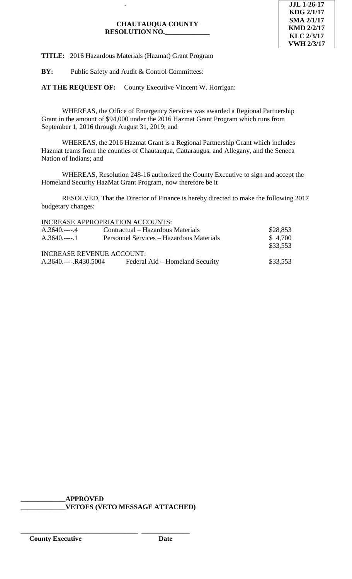

**TITLE:** 2016 Hazardous Materials (Hazmat) Grant Program

`

**BY:** Public Safety and Audit & Control Committees:

**AT THE REQUEST OF:** County Executive Vincent W. Horrigan:

WHEREAS, the Office of Emergency Services was awarded a Regional Partnership Grant in the amount of \$94,000 under the 2016 Hazmat Grant Program which runs from September 1, 2016 through August 31, 2019; and

WHEREAS, the 2016 Hazmat Grant is a Regional Partnership Grant which includes Hazmat teams from the counties of Chautauqua, Cattaraugus, and Allegany, and the Seneca Nation of Indians; and

WHEREAS, Resolution 248-16 authorized the County Executive to sign and accept the Homeland Security HazMat Grant Program, now therefore be it

RESOLVED, That the Director of Finance is hereby directed to make the following 2017 budgetary changes:

|                                  | INCREASE APPROPRIATION ACCOUNTS:         |          |
|----------------------------------|------------------------------------------|----------|
| $A.3640$ 4                       | Contractual – Hazardous Materials        | \$28,853 |
| $A.3640$ .----.1                 | Personnel Services – Hazardous Materials | \$4,700  |
|                                  |                                          | \$33,553 |
| <b>INCREASE REVENUE ACCOUNT:</b> |                                          |          |
|                                  | Federal Aid – Homeland Security          | \$33,553 |

**\_\_\_\_\_\_\_\_\_\_\_\_\_APPROVED \_\_\_\_\_\_\_\_\_\_\_\_\_VETOES (VETO MESSAGE ATTACHED)**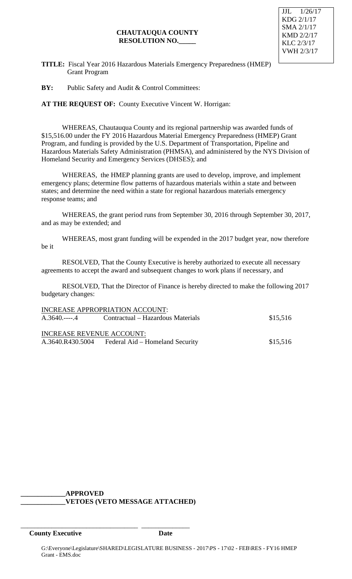# **CHAUTAUQUA COUNTY RESOLUTION NO.\_\_\_\_\_**



**TITLE:** Fiscal Year 2016 Hazardous Materials Emergency Preparedness (HMEP) Grant Program

**BY:** Public Safety and Audit & Control Committees:

**AT THE REQUEST OF:** County Executive Vincent W. Horrigan:

WHEREAS, Chautauqua County and its regional partnership was awarded funds of \$15,516.00 under the FY 2016 Hazardous Material Emergency Preparedness (HMEP) Grant Program, and funding is provided by the U.S. Department of Transportation, Pipeline and Hazardous Materials Safety Administration (PHMSA), and administered by the NYS Division of Homeland Security and Emergency Services (DHSES); and

WHEREAS, the HMEP planning grants are used to develop, improve, and implement emergency plans; determine flow patterns of hazardous materials within a state and between states; and determine the need within a state for regional hazardous materials emergency response teams; and

WHEREAS, the grant period runs from September 30, 2016 through September 30, 2017, and as may be extended; and

WHEREAS, most grant funding will be expended in the 2017 budget year, now therefore be it

RESOLVED, That the County Executive is hereby authorized to execute all necessary agreements to accept the award and subsequent changes to work plans if necessary, and

RESOLVED, That the Director of Finance is hereby directed to make the following 2017 budgetary changes:

| \$15,516 |
|----------|
|          |
|          |
| \$15,516 |
|          |

#### **\_\_\_\_\_\_\_\_\_\_\_\_\_APPROVED \_\_\_\_\_\_\_\_\_\_\_\_\_VETOES (VETO MESSAGE ATTACHED)**

\_\_\_\_\_\_\_\_\_\_\_\_\_\_\_\_\_\_\_\_\_\_\_\_\_\_\_\_\_\_\_\_\_\_ \_\_\_\_\_\_\_\_\_\_\_\_\_\_

**County Executive Date**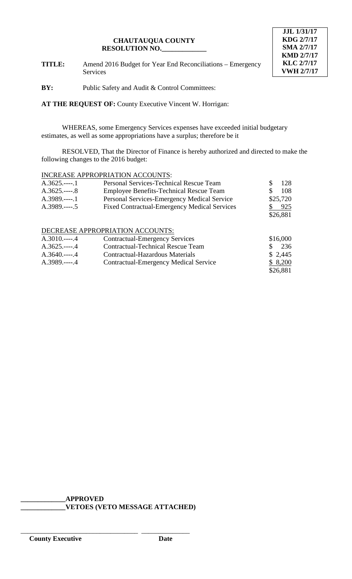

**TITLE:** Amend 2016 Budget for Year End Reconciliations – Emergency Services

**BY:** Public Safety and Audit & Control Committees:

**AT THE REQUEST OF:** County Executive Vincent W. Horrigan:

WHEREAS, some Emergency Services expenses have exceeded initial budgetary estimates, as well as some appropriations have a surplus; therefore be it

RESOLVED, That the Director of Finance is hereby authorized and directed to make the following changes to the 2016 budget:

## INCREASE APPROPRIATION ACCOUNTS:

| $A.3625$ 1             | <b>Personal Services-Technical Rescue Team</b>      | 128<br>S  |
|------------------------|-----------------------------------------------------|-----------|
| $A.3625$ 8             | <b>Employee Benefits-Technical Rescue Team</b>      | 108<br>S  |
| $A.3989$ 1             | Personal Services-Emergency Medical Service         | \$25,720  |
| $A.3989$ 5             | <b>Fixed Contractual-Emergency Medical Services</b> | 925       |
|                        |                                                     | \$26,881  |
|                        |                                                     |           |
|                        | DECREASE APPROPRIATION ACCOUNTS:                    |           |
| $A.3010$ 4             | <b>Contractual-Emergency Services</b>               | \$16,000  |
| $A.3625 - .4$          | <b>Contractual-Technical Rescue Team</b>            | 236<br>S. |
| $A.3640$ 4             | Contractual-Hazardous Materials                     | \$2,445   |
| $\triangle$ 3989 --- 4 | Contractual-Emergency Medical Service               | \$8200    |

A.3989.----.4 Contractual-Emergency Medical Service \$26,881

**\_\_\_\_\_\_\_\_\_\_\_\_\_APPROVED**

\_\_\_\_\_\_\_\_\_\_\_\_\_\_\_\_\_\_\_\_\_\_\_\_\_\_\_\_\_\_\_\_\_\_ \_\_\_\_\_\_\_\_\_\_\_\_\_\_

**\_\_\_\_\_\_\_\_\_\_\_\_\_VETOES (VETO MESSAGE ATTACHED)**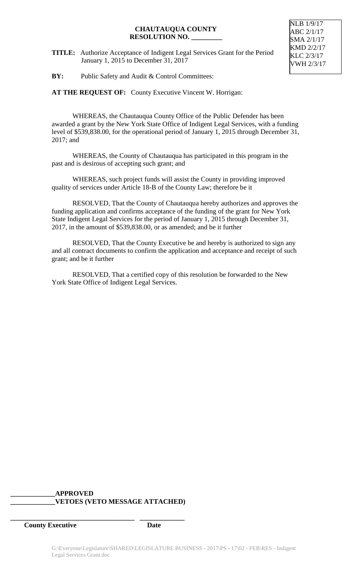**TITLE:** Authorize Acceptance of Indigent Legal Services Grant for the Period January 1, 2015 to December 31, 2017

NLB 1/9/17 ABC 2/1/17 SMA 2/1/17 KMD 2/2/17 KLC 2/3/17 VWH 2/3/17

**BY:** Public Safety and Audit & Control Committees:

**AT THE REQUEST OF:** County Executive Vincent W. Horrigan:

WHEREAS, the Chautauqua County Office of the Public Defender has been awarded a grant by the New York State Office of Indigent Legal Services, with a funding level of \$539,838.00, for the operational period of January 1, 2015 through December 31, 2017; and

WHEREAS, the County of Chautauqua has participated in this program in the past and is desirous of accepting such grant; and

WHEREAS, such project funds will assist the County in providing improved quality of services under Article 18-B of the County Law; therefore be it

RESOLVED, That the County of Chautauqua hereby authorizes and approves the funding application and confirms acceptance of the funding of the grant for New York State Indigent Legal Services for the period of January 1, 2015 through December 31, 2017, in the amount of \$539,838.00, or as amended; and be it further

RESOLVED, That the County Executive be and hereby is authorized to sign any and all contract documents to confirm the application and acceptance and receipt of such grant; and be it further

RESOLVED, That a certified copy of this resolution be forwarded to the New York State Office of Indigent Legal Services.

## **\_\_\_\_\_\_\_\_\_\_\_\_\_APPROVED \_\_\_\_\_\_\_\_\_\_\_\_\_VETOES (VETO MESSAGE ATTACHED)**

**\_\_\_\_\_\_\_\_\_\_\_\_\_\_\_\_\_\_\_\_\_\_\_\_\_\_\_\_\_\_\_\_\_\_\_\_ \_\_\_\_\_\_\_\_\_\_\_\_\_**

**County Executive Date**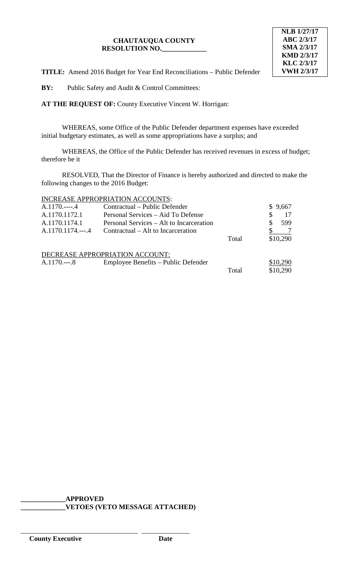

**TITLE:** Amend 2016 Budget for Year End Reconciliations – Public Defender

**BY:** Public Safety and Audit & Control Committees:

**AT THE REQUEST OF:** County Executive Vincent W. Horrigan:

WHEREAS, some Office of the Public Defender department expenses have exceeded initial budgetary estimates, as well as some appropriations have a surplus; and

WHEREAS, the Office of the Public Defender has received revenues in excess of budget; therefore be it

RESOLVED, That the Director of Finance is hereby authorized and directed to make the following changes to the 2016 Budget:

# INCREASE APPROPRIATION ACCOUNTS:

| $A.1170---.4$     | Contractual – Public Defender            |       |   | \$9,667  |
|-------------------|------------------------------------------|-------|---|----------|
| A.1170.1172.1     | Personal Services – Aid To Defense       |       | S |          |
| A.1170.1174.1     | Personal Services – Alt to Incarceration |       | S | 599      |
| A.1170.1174.---.4 | Contractual – Alt to Incarceration       |       |   |          |
|                   |                                          | Total |   | \$10,290 |
|                   |                                          |       |   |          |
|                   | DECREASE APPROPRIATION ACCOUNT:          |       |   |          |
| $A.1170---8$      | Employee Benefits – Public Defender      |       |   | \$10,290 |
|                   |                                          | Total |   | \$10,290 |

**\_\_\_\_\_\_\_\_\_\_\_\_\_APPROVED \_\_\_\_\_\_\_\_\_\_\_\_\_VETOES (VETO MESSAGE ATTACHED)**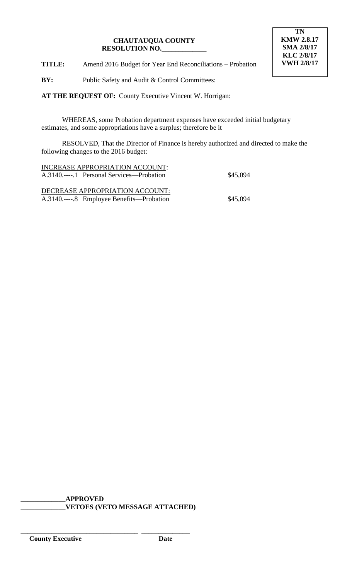

**TITLE:** Amend 2016 Budget for Year End Reconciliations – Probation

**BY:** Public Safety and Audit & Control Committees:

**AT THE REQUEST OF:** County Executive Vincent W. Horrigan:

WHEREAS, some Probation department expenses have exceeded initial budgetary estimates, and some appropriations have a surplus; therefore be it

RESOLVED, That the Director of Finance is hereby authorized and directed to make the following changes to the 2016 budget:

| INCREASE APPROPRIATION ACCOUNT:           |          |
|-------------------------------------------|----------|
| A.3140.----.1 Personal Services—Probation | \$45,094 |
|                                           |          |
| DECREASE APPROPRIATION ACCOUNT:           |          |
|                                           |          |
| A.3140.----.8 Employee Benefits—Probation | \$45,094 |

**\_\_\_\_\_\_\_\_\_\_\_\_\_APPROVED \_\_\_\_\_\_\_\_\_\_\_\_\_VETOES (VETO MESSAGE ATTACHED)**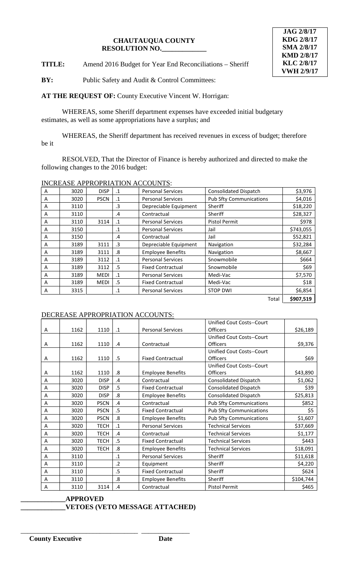**TITLE:** Amend 2016 Budget for Year End Reconciliations – Sheriff

**BY:** Public Safety and Audit & Control Committees:

**AT THE REQUEST OF:** County Executive Vincent W. Horrigan:

WHEREAS, some Sheriff department expenses have exceeded initial budgetary estimates, as well as some appropriations have a surplus; and

WHEREAS, the Sheriff department has received revenues in excess of budget; therefore be it

RESOLVED, That the Director of Finance is hereby authorized and directed to make the following changes to the 2016 budget:

INCREASE APPROPRIATION ACCOUNTS:

| A | 3020 | <b>DISP</b> | $\cdot$ 1     | <b>Personal Services</b> | <b>Consolidated Dispatch</b>   | \$3,976   |
|---|------|-------------|---------------|--------------------------|--------------------------------|-----------|
| A | 3020 | <b>PSCN</b> | $\cdot$ 1     | <b>Personal Services</b> | <b>Pub Sfty Communications</b> | \$4,016   |
| A | 3110 |             | .3            | Depreciable Equipment    | Sheriff                        | \$18,220  |
| A | 3110 |             | $\mathbf{.4}$ | Contractual              | Sheriff                        | \$28,327  |
| A | 3110 | 3114        | $\cdot$ 1     | <b>Personal Services</b> | <b>Pistol Permit</b>           | \$978     |
| A | 3150 |             | $\cdot$ 1     | <b>Personal Services</b> | Jail                           | \$743,055 |
| A | 3150 |             | .4            | Contractual              | Jail                           | \$52,821  |
| A | 3189 | 3111        | .3            | Depreciable Equipment    | Navigation                     | \$32,284  |
| A | 3189 | 3111        | .8            | <b>Employee Benefits</b> | Navigation                     | \$8,667   |
| A | 3189 | 3112        | $\cdot$ 1     | <b>Personal Services</b> | Snowmobile                     | \$664     |
| A | 3189 | 3112        | .5            | <b>Fixed Contractual</b> | Snowmobile                     | \$69      |
| A | 3189 | <b>MEDI</b> | $\cdot$ 1     | <b>Personal Services</b> | Medi-Vac                       | \$7,570   |
| A | 3189 | <b>MEDI</b> | .5            | <b>Fixed Contractual</b> | Medi-Vac                       | \$18      |
| A | 3315 |             | $\cdot$ 1     | <b>Personal Services</b> | <b>STOP DWI</b>                | \$6,854   |
|   |      |             |               |                          | Total                          | \$907,519 |

# DECREASE APPROPRIATION ACCOUNTS:

|   |      |             |                         |                          | Unified Cout Costs--Court        |           |
|---|------|-------------|-------------------------|--------------------------|----------------------------------|-----------|
| A | 1162 | 1110        | $\cdot$ 1               | <b>Personal Services</b> | Officers                         | \$26,189  |
|   |      |             |                         |                          | <b>Unified Cout Costs--Court</b> |           |
| Α | 1162 | 1110        | .4                      | Contractual              | Officers                         | \$9,376   |
|   |      |             |                         |                          | Unified Cout Costs--Court        |           |
| A | 1162 | 1110        | .5                      | <b>Fixed Contractual</b> | Officers                         | \$69      |
|   |      |             |                         |                          | Unified Cout Costs--Court        |           |
| Α | 1162 | 1110        | .8                      | <b>Employee Benefits</b> | <b>Officers</b>                  | \$43,890  |
| A | 3020 | <b>DISP</b> | .4                      | Contractual              | <b>Consolidated Dispatch</b>     | \$1,062   |
| Α | 3020 | <b>DISP</b> | .5                      | <b>Fixed Contractual</b> | <b>Consolidated Dispatch</b>     | \$39      |
| A | 3020 | <b>DISP</b> | $\overline{\mathbf{8}}$ | <b>Employee Benefits</b> | <b>Consolidated Dispatch</b>     | \$25,813  |
| A | 3020 | <b>PSCN</b> | .4                      | Contractual              | <b>Pub Sfty Communications</b>   | \$852     |
| Α | 3020 | <b>PSCN</b> | .5                      | <b>Fixed Contractual</b> | <b>Pub Sfty Communications</b>   | \$5       |
| A | 3020 | <b>PSCN</b> | .8                      | <b>Employee Benefits</b> | <b>Pub Sfty Communications</b>   | \$1,607   |
| A | 3020 | <b>TECH</b> | $\cdot$ 1               | <b>Personal Services</b> | <b>Technical Services</b>        | \$37,669  |
| Α | 3020 | <b>TECH</b> | .4                      | Contractual              | <b>Technical Services</b>        | \$1,177   |
| A | 3020 | <b>TECH</b> | .5                      | <b>Fixed Contractual</b> | <b>Technical Services</b>        | \$443     |
| A | 3020 | <b>TECH</b> | .8                      | <b>Employee Benefits</b> | <b>Technical Services</b>        | \$18,091  |
| Α | 3110 |             | $\cdot$ 1               | <b>Personal Services</b> | Sheriff                          | \$11,618  |
| A | 3110 |             | $\cdot$                 | Equipment                | Sheriff                          | \$4,220   |
| A | 3110 |             | .5                      | <b>Fixed Contractual</b> | Sheriff                          | \$624     |
| A | 3110 |             | .8                      | <b>Employee Benefits</b> | Sheriff                          | \$104,744 |
| Α | 3110 | 3114        | .4                      | Contractual              | Pistol Permit                    | \$465     |

#### **\_\_\_\_\_\_\_\_\_\_\_\_\_APPROVED \_\_\_\_\_\_\_\_\_\_\_\_\_VETOES (VETO MESSAGE ATTACHED)**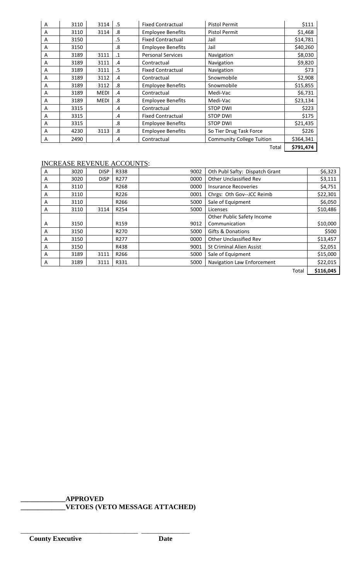| A | 3110 | 3114        | .5        | <b>Fixed Contractual</b> | <b>Pistol Permit</b>             | \$111     |
|---|------|-------------|-----------|--------------------------|----------------------------------|-----------|
| A | 3110 | 3114        | .8        | <b>Employee Benefits</b> | <b>Pistol Permit</b>             | \$1,468   |
| A | 3150 |             | .5        | <b>Fixed Contractual</b> | Jail                             | \$14,781  |
| A | 3150 |             | .8        | <b>Employee Benefits</b> | Jail                             | \$40,260  |
| A | 3189 | 3111        | $\cdot$ 1 | <b>Personal Services</b> | Navigation                       | \$8,030   |
| A | 3189 | 3111        | .4        | Contractual              | Navigation                       | \$9,820   |
| A | 3189 | 3111        | .5        | <b>Fixed Contractual</b> | Navigation                       | \$73      |
| A | 3189 | 3112        | .4        | Contractual              | Snowmobile                       | \$2,908   |
| A | 3189 | 3112        | .8        | <b>Employee Benefits</b> | Snowmobile                       | \$15,855  |
| A | 3189 | <b>MEDI</b> | $\cdot$   | Contractual              | Medi-Vac                         | \$6,731   |
| A | 3189 | <b>MEDI</b> | .8        | <b>Employee Benefits</b> | Medi-Vac                         | \$23,134  |
| A | 3315 |             | .4        | Contractual              | <b>STOP DWI</b>                  | \$223     |
| A | 3315 |             | .4        | <b>Fixed Contractual</b> | <b>STOP DWI</b>                  | \$175     |
| A | 3315 |             | .8        | <b>Employee Benefits</b> | <b>STOP DWI</b>                  | \$21,435  |
| A | 4230 | 3113        | .8        | <b>Employee Benefits</b> | So Tier Drug Task Force          | \$226     |
| A | 2490 |             | .4        | Contractual              | <b>Community College Tuition</b> | \$364,341 |
|   |      |             |           |                          | Total                            | \$791,474 |

# INCREASE REVENUE ACCOUNTS:

| A | 3020 | <b>DISP</b> | R338             | 9002 | Oth Publ Safty: Dispatch Grant  |       | \$6,323   |
|---|------|-------------|------------------|------|---------------------------------|-------|-----------|
| A | 3020 | <b>DISP</b> | R <sub>277</sub> | 0000 | Other Unclassified Rev          |       | \$3,111   |
| A | 3110 |             | R <sub>268</sub> | 0000 | <b>Insurance Recoveries</b>     |       | \$4,751   |
| A | 3110 |             | R226             | 0001 | Chrgs: Oth Gov--JCC Reimb       |       | \$22,301  |
| A | 3110 |             | R <sub>266</sub> | 5000 | Sale of Equipment               |       | \$6,050   |
| A | 3110 | 3114        | R254             | 5000 | Licenses                        |       | \$10,486  |
|   |      |             |                  |      | Other Public Safety Income      |       |           |
| A | 3150 |             | R <sub>159</sub> | 9012 | Communication                   |       | \$10,000  |
| A | 3150 |             | R270             | 5000 | <b>Gifts &amp; Donations</b>    |       | \$500     |
| A | 3150 |             | R <sub>277</sub> | 0000 | <b>Other Unclassified Rev</b>   |       | \$13,457  |
| A | 3150 |             | R438             | 9001 | <b>St Criminal Alien Assist</b> |       | \$2,051   |
| A | 3189 | 3111        | R266             | 5000 | Sale of Equipment               |       | \$15,000  |
| A | 3189 | 3111        | R331             | 5000 | Navigation Law Enforcement      |       | \$22,015  |
|   |      |             |                  |      |                                 | Total | \$116,045 |

**\_\_\_\_\_\_\_\_\_\_\_\_\_APPROVED \_\_\_\_\_\_\_\_\_\_\_\_\_VETOES (VETO MESSAGE ATTACHED)**